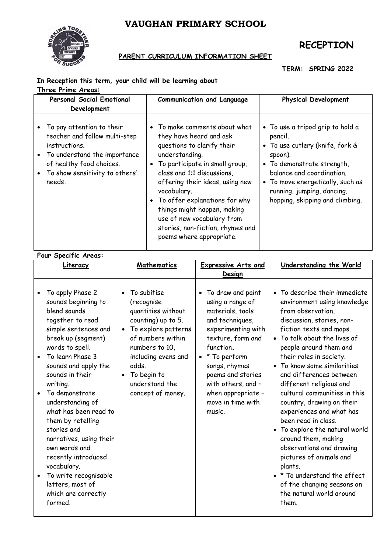# **VAUGHAN PRIMARY SCHOOL**



## **RECEPTION**

### **PARENT CURRICULUM INFORMATION SHEET**

**TERM: SPRING 2022**

#### **In Reception this term, your child will be learning about Three Prime Areas:**

| <b>Personal Social Emotional</b><br>Development                                                                                                                                     | <b>Communication and Language</b>                                                                                                                                                                                                                                                                                                                                                            | <b>Physical Development</b>                                                                                                                                                                                                                               |
|-------------------------------------------------------------------------------------------------------------------------------------------------------------------------------------|----------------------------------------------------------------------------------------------------------------------------------------------------------------------------------------------------------------------------------------------------------------------------------------------------------------------------------------------------------------------------------------------|-----------------------------------------------------------------------------------------------------------------------------------------------------------------------------------------------------------------------------------------------------------|
| To pay attention to their<br>teacher and follow multi-step<br>instructions.<br>To understand the importance<br>of healthy food choices.<br>To show sensitivity to others'<br>needs. | • To make comments about what<br>they have heard and ask<br>questions to clarify their<br>understanding.<br>• To participate in small group,<br>class and 1:1 discussions.<br>offering their ideas, using new<br>vocabulary.<br>• To offer explanations for why<br>things might happen, making<br>use of new vocabulary from<br>stories, non-fiction, rhymes and<br>poems where appropriate. | • To use a tripod grip to hold a<br>pencil.<br>• To use cutlery (knife, fork &<br>spoon).<br>• To demonstrate strength,<br>balance and coordination.<br>• To move energetically, such as<br>running, jumping, dancing,<br>hopping, skipping and climbing. |

## **Four Specific Areas:**

| Literacy                                                                                                                                                                                                                                                                                                                                                                                                                                                                                    | Mathematics                                                                                                                                                                                                                                         | <b>Expressive Arts and</b>                                                                                                                                                                                                                                                        | Understanding the World                                                                                                                                                                                                                                                                                                                                                                                                                                                                                                                                                                                                                                           |
|---------------------------------------------------------------------------------------------------------------------------------------------------------------------------------------------------------------------------------------------------------------------------------------------------------------------------------------------------------------------------------------------------------------------------------------------------------------------------------------------|-----------------------------------------------------------------------------------------------------------------------------------------------------------------------------------------------------------------------------------------------------|-----------------------------------------------------------------------------------------------------------------------------------------------------------------------------------------------------------------------------------------------------------------------------------|-------------------------------------------------------------------------------------------------------------------------------------------------------------------------------------------------------------------------------------------------------------------------------------------------------------------------------------------------------------------------------------------------------------------------------------------------------------------------------------------------------------------------------------------------------------------------------------------------------------------------------------------------------------------|
|                                                                                                                                                                                                                                                                                                                                                                                                                                                                                             |                                                                                                                                                                                                                                                     | Design                                                                                                                                                                                                                                                                            |                                                                                                                                                                                                                                                                                                                                                                                                                                                                                                                                                                                                                                                                   |
| To apply Phase 2<br>sounds beginning to<br>blend sounds<br>together to read<br>simple sentences and<br>break up (segment)<br>words to spell.<br>To learn Phase 3<br>sounds and apply the<br>sounds in their<br>writing.<br>To demonstrate<br>understanding of<br>what has been read to<br>them by retelling<br>stories and<br>narratives, using their<br>own words and<br>recently introduced<br>vocabulary.<br>To write recognisable<br>letters, most of<br>which are correctly<br>formed. | To subitise<br>(recognise<br>quantities without<br>counting) up to 5.<br>To explore patterns<br>$\bullet$<br>of numbers within<br>numbers to 10,<br>including evens and<br>odds.<br>To begin to<br>$\bullet$<br>understand the<br>concept of money. | • To draw and paint<br>using a range of<br>materials, tools<br>and techniques,<br>experimenting with<br>texture, form and<br>function.<br>$\bullet$ * To perform<br>songs, rhymes<br>poems and stories<br>with others, and -<br>when appropriate -<br>move in time with<br>music. | • To describe their immediate<br>environment using knowledge<br>from observation.<br>discussion, stories, non-<br>fiction texts and maps.<br>• To talk about the lives of<br>people around them and<br>their roles in society.<br>• To know some similarities<br>and differences between<br>different religious and<br>cultural communities in this<br>country, drawing on their<br>experiences and what has<br>been read in class.<br>• To explore the natural world<br>around them, making<br>observations and drawing<br>pictures of animals and<br>plants.<br>• * To understand the effect<br>of the changing seasons on<br>the natural world around<br>them. |